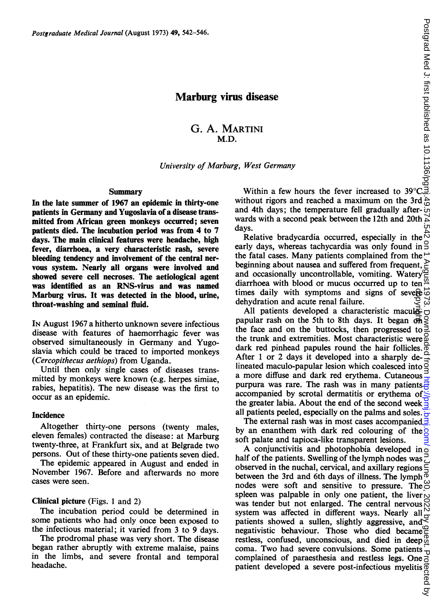ted by

# Marburg virus disease

G. A. MARTINI M.D.

### University of Marburg, West Germany

### Summary

In the late summer of 1967 an epidemic in thirty-one patients in Germany and Yugoslavia of a disease transmitted from African green monkeys occurred; seven patients died. The incubation period was from 4 to 7 days. The main clinical features were headache, high fever, diarrhoea, a very characteristic rash, severe bleeding tendency and involvement of the central nervous system. Nearly all organs were involved and showed severe cell necroses. The aetiological agent was identified as an RNS-virus and was named Marburg virus. It was detected in the blood, urine, throat-washing and seminal fluid.

IN August 1967 a hitherto unknown severe infectious disease with features of haemorrhagic fever was observed simultaneously in Germany and Yugoslavia which could be traced to imported monkeys (Cercopithecus aethiops) from Uganda.

Until then only single cases of diseases transmitted by monkeys were known (e.g. herpes simiae, rabies, hepatitis). The new disease was the first to occur as an epidemic.

## **Incidence**

Altogether thirty-one persons (twenty males, eleven females) contracted the disease: at Marburg twenty-three, at Frankfurt six, and at Belgrade two persons. Out of these thirty-one patients seven died.

The epidemic appeared in August and ended in November 1967. Before and afterwards no more cases were seen.

### Clinical picture (Figs. <sup>1</sup> and 2)

The incubation period could be determined in some patients who had only once been exposed to the infectious material; it varied from 3 to 9 days.

The prodromal phase was very short. The disease began rather abruptly with extreme malaise, pains in the limbs, and severe frontal and temporal headache.

**Solid School**<br> **Solid School School**<br> **RTINI**<br>
West Germany<br>
Within a few hours the fever increased to  $39^{\circ}$ C.<br>
Within a few hours the fever increased to  $39^{\circ}$ C.<br>
Thinut rigors and reached a maximum on the 3rd  $\frac{$ without rigors and reached a maximum on the 3rd  $\frac{1}{10}$ and 4th days; the temperature fell gradually afterwards with a second peak between the 12th and 20th days.

Relative bradycardia occurred, especially in the early days, whereas tachycardia was only found in  $\frac{8}{5}$ the fatal cases. Many patients complained from the beginning about nausea and suffered from frequent, and occasionally uncontrollable, vomiting. Watery diarrhoea with blood or mucus occurred up to ten times daily with symptoms and signs of severe  $\Rightarrow$ dehydration and acute renal failure. చె

All patients developed a characteristic maculo- $\Box$ papular rash on the 5th to 8th days. It began  $\overrightarrow{OP}$ the face and on the buttocks, then progressed to the trunk and extremities. Most characteristic were dark red pinhead papules round the hair follicles. After <sup>1</sup> or 2 days it developed into a sharply delineated maculo-papular lesion which coalesced into  $\frac{3}{5}$ a more diffuse and dark red erythema. Cutaneous purpura was rare. The rash was in many patients accompanied by scrotal dermatitis or erythema of the greater labia. About the end of the second week  $\frac{8}{3}$ all patients peeled, especially on the palms and soles.

The external rash was in most cases accompanied  $\frac{3}{5}$ by an enanthem with dark red colouring of the soft palate and tapioca-like transparent lesions.

A conjunctivitis and photophobia developed in  $\circ$ half of the patients. Swelling of the lymph nodes was observed in the nuchal, cervical, and axillary regions  $\bar{z}$ between the 3rd and 6th days of illness. The lymph  $\overline{\Phi}$ nodes were soft and sensitive to pressure. The spleen was palpable in only one patient, the liver  $\sim$ was tender but not enlarged. The central nervous system was affected in different ways. Nearly all patients showed a sullen, slightly aggressive, and positivities have a sullen, slightly aggressive, and negativistic behaviour. Those who died became  $\epsilon$ restless, confused, unconscious, and died in deep  $\frac{0}{2}$ coma. Two had severe convulsions. Some patients complained of paraesthesia and restless legs. One  $\frac{3}{5}$  patient developed a severe post-infectious myelitis  $\frac{3}{5}$ times daily with symptoms and signs of several compled denydration and acute renal failure.  $\frac{Q}{Q}$  papular rash on the 5th to 8th days. It began or all patients developed a characteristic maculo-<br>papular rash on the 5th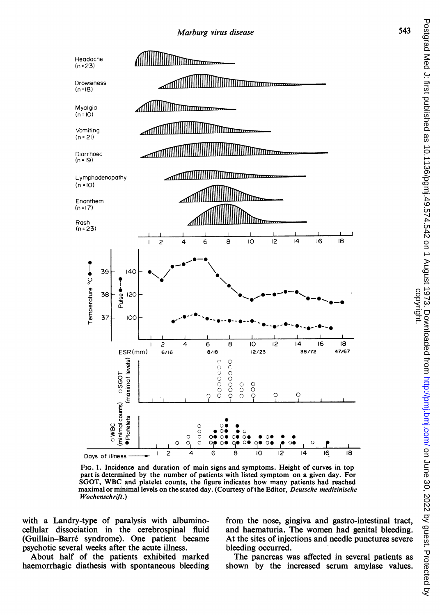

FIG. 1. Incidence and duration of main signs and symptoms. Height of curves in top part is determined by the number of patients with listed symptom on a given day. For SGOT, WBC and platelet counts, the figure indicates how many patients had reached maximal or minimal levels on the stated day. (Courtesy of the Editor, Deutsche medizinische Wochenschrift.)

with a Landry-type of paralysis with albuminocellular dissociation in the cerebrospinal fluid (Guillain-Barre syndrome). One patient became psychotic several weeks after the acute illness.

About half of the patients exhibited marked haemorrhagic diathesis with spontaneous bleeding from the nose, gingiva and gastro-intestinal tract, and haematuria. The women had genital bleeding. At the sites of injections and needle punctures severe bleeding occurred.

The pancreas was affected in several patients as shown by the increased serum amylase values.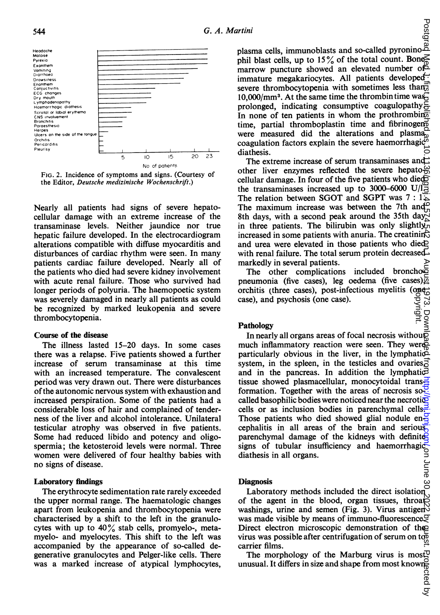

FIG. 2. Incidence of symptoms and signs. (Courtesy of the Editor, Deutsche medizinische Wochenschrift.)

Nearly all patients had signs of severe hepatocellular damage with an extreme increase of the transaminase levels. Neither jaundice nor true hepatic failure developed. In the electrocardiogram alterations compatible with diffuse myocarditis and disturbances of cardiac rhythm were seen. In many patients cardiac failure developed. Nearly all of the patients who died had severe kidney involvement with acute renal failure. Those who survived had longer periods of polyuria. The haemopoetic system was severely damaged in nearly all patients as could be recognized by marked leukopenia and severe thrombocytopenia.

### Course of the disease

The illness lasted 15-20 days. In some cases there was a relapse. Five patients showed a further increase of serum transaminase at this time with an increased temperature. The convalescent period was very drawn out. There were disturbances of the autonomic nervous system with exhaustion and increased perspiration. Some of the patients had a considerable loss of hair and complained of tenderness of the liver and alcohol intolerance. Unilateral testicular atrophy was observed in five patients. Some had reduced libido and potency and oligospermia; the ketosteroid levels were normal. Three women were delivered of four healthy babies with no signs of disease.

### Laboratory findings

The erythrocyte sedimentation rate rarely exceeded the upper normal range. The haematologic changes apart from leukopenia and thrombocytopenia were characterised by a shift to the left in the granulocytes with up to  $40\%$  stab cells, promyelo-, metamyelo- and myelocytes. This shift to the left was accompanied by the appearance of so-called degenerative granulocytes and Pelger-like cells. There was a marked increase of atypical lymphocytes,

plasma cells, immunoblasts and so-called pyronino-phil blast cells, up to <sup>15</sup> % of the total count. Bone marrow puncture showed an elevated number of immature megakariocytes. All patients developed severe thrombocytopenia with sometimes less than  $10,000/\text{mm}^3$ . At the same time the thrombin time was. prolonged, indicating consumptive coagulopathy $\in$ In none of ten patients in whom the prothrombing time, partial thromboplastin time and fibrinogend were measured did the alterations and plasma<sub>n</sub> coagulation factors explain the severe haemorrhagic $\bar{c}$ diathesis.

The extreme increase of serum transaminases and other liver enzymes reflected the severe hepato- $\frac{\omega}{\Omega}$ cellular damage. In four of the five patients who died the transaminases increased up to 3000-6000 U/I $\overline{5}$ The relation between SGOT and SGPT was  $7:1.1$ The maximum increase was between the 7th and  $_{\text{on}}^{\text{C}}$ 8th days, with a second peak around the 35th day. in three patients. The bilirubin was only slightly, increased in some patients with anuria. The creatining and urea were elevated in those patients who dieders with renal failure. The total serum protein decreased with renal failure. The total serum protein decreased markedly in several patients.

The other complications included broncho $\ddot{\theta}$ pneumonia (five cases), leg oedema (five cases) $\bar{\mu}$ orchitis (three cases), post-infectious myelitis (one, case), and psychosis (one case). orchitis (three cases), post-infectious myentis (objections), and psychosis (one case).<br>  $\frac{35}{2}$ <br>
Pathology

 on June 30, 2022 by guest. Protected by <http://pmj.bmj.com/> Postgrad Med J: first published as 10.1136/pgmj.49.574.542 on 1 August 1973. Downloaded from In nearly all organs areas of focal necrosis withouth much inflammatory reaction were seen. They were particularly obvious in the liver, in the lymphatic system, in the spleen, in the testicles and ovaries, and in the pancreas. In addition the lymphatic $\exists$ tissue showed plasmacellular, monocytoidal transformation. Together with the areas of necrosis so $\frac{1}{2}$ called basophilic bodies were noticed near the necrotic cells or as inclusion bodies in parenchymal cells. Those patients who died showed glial nodule encephalitis in all areas of the brain and serious parenchymal damage of the kidneys with definitesigns of tubular insufficiency and haemorrhagic diathesis in all organs. aunc

# **Diagnosis**

**iagnosis**<br>Laboratory methods included the direct isolation of the agent in the blood, organ tissues, throat washings, urine and semen (Fig. 3). Virus antigeno was made visible by means of immuno-fluorescence. Direct electron microscopic demonstration of the virus was possible after centrifugation of serum on to carrier films.

The morphology of the Marburg virus is most unusual. It differs in size and shape from most known

i bert ζÓ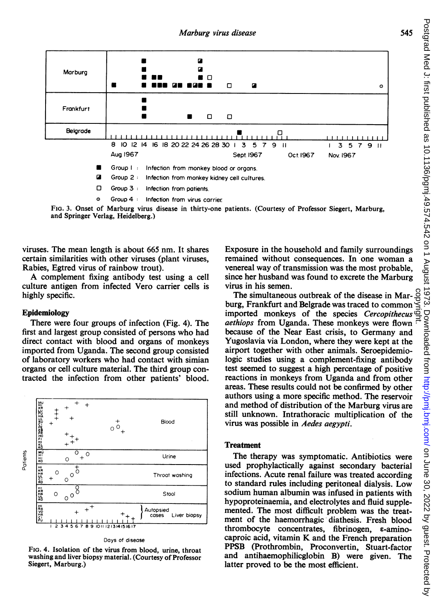

FIG. 3. Onset of Marburg virus disease in thirty-one patients. (Courtesy of Professor Siegert, Marburg, and Springer Verlag, Heidelberg.)

viruses. The mean length is about 665 nm. It shares certain similarities with other viruses (plant viruses, Rabies, Egtred virus of rainbow trout).

A complement fixing antibody test using <sup>a</sup> cell culture antigen from infected Vero carrier cells is highly specific.

### Epidemiology

There were four groups of infection (Fig. 4). The first and largest group consisted of persons who had direct contact with blood and organs of monkeys imported from Uganda. The second group consisted of laboratory workers who had contact with simian organs or cell culture material. The third group contracted the infection from other patients' blood.



### Days of disease

FIG. 4. Isolation of the virus from blood, urine, throat washing and liver biopsy material. (Courtesy of Professor Siegert, Marburg.)

Exposure in the household and family surroundings remained without consequences. In one woman a venereal way of transmission was the most probable, since her husband was found to excrete the Marburg virus in his semen.

The simultaneous outbreak of the disease in Marburg, Frankfurt and Belgrade was traced to common imported monkeys of the species Cercopithecus *aethiops* from Uganda. These monkeys were flown because of the Near East crisis, to Germany and Yugoslavia via London, where they were kept at the airport together with other animals. Seroepidemiologic studies using a complement-fixing antibody test seemed to suggest a high percentage of positive reactions in monkeys from Uganda and from other areas. These results could not be confirmed by other authors using a more specific method. The reservoir and method of distribution of the Marburg virus are still unknown. Intrathoracic multiplication of the virus was possible in Aedes aegypti.

### Treatment

The therapy was symptomatic. Antibiotics were used prophylactically against secondary bacterial infections. Acute renal failure was treated according to standard rules including peritoneal dialysis. Low sodium human albumin was infused in patients with hypoproteinaemia, and electrolytes and fluid supplemented. The most difficult problem was the treatment of the haemorrhagic diathesis. Fresh blood thrombocyte concentrates, fibrinogen, e-aminocaproic acid, vitamin K and the French preparation PPSB (Prothrombin, Proconvertin, Stuart-factor and antihaemophilicglobin B) were given. The latter proved to be the most efficient.

545